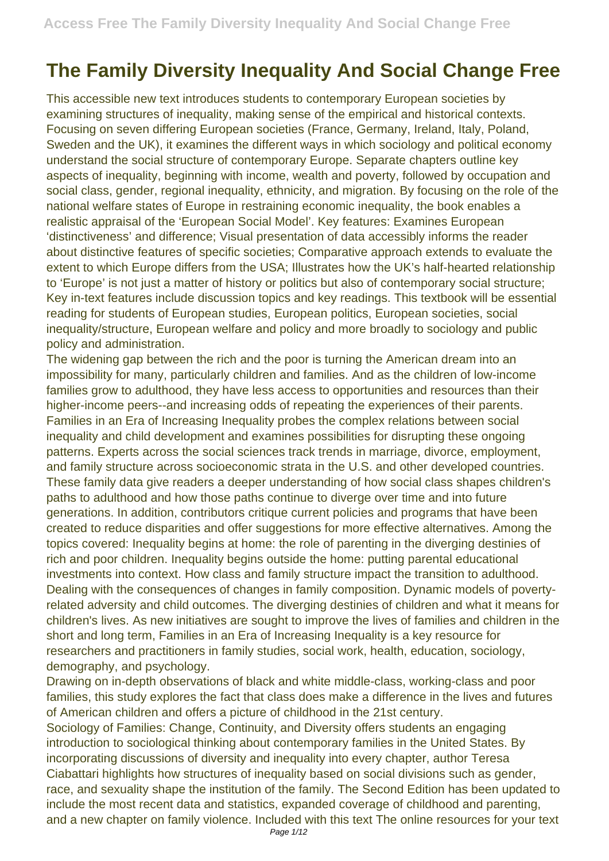## **The Family Diversity Inequality And Social Change Free**

This accessible new text introduces students to contemporary European societies by examining structures of inequality, making sense of the empirical and historical contexts. Focusing on seven differing European societies (France, Germany, Ireland, Italy, Poland, Sweden and the UK), it examines the different ways in which sociology and political economy understand the social structure of contemporary Europe. Separate chapters outline key aspects of inequality, beginning with income, wealth and poverty, followed by occupation and social class, gender, regional inequality, ethnicity, and migration. By focusing on the role of the national welfare states of Europe in restraining economic inequality, the book enables a realistic appraisal of the 'European Social Model'. Key features: Examines European 'distinctiveness' and difference; Visual presentation of data accessibly informs the reader about distinctive features of specific societies; Comparative approach extends to evaluate the extent to which Europe differs from the USA; Illustrates how the UK's half-hearted relationship to 'Europe' is not just a matter of history or politics but also of contemporary social structure; Key in-text features include discussion topics and key readings. This textbook will be essential reading for students of European studies, European politics, European societies, social inequality/structure, European welfare and policy and more broadly to sociology and public policy and administration.

The widening gap between the rich and the poor is turning the American dream into an impossibility for many, particularly children and families. And as the children of low-income families grow to adulthood, they have less access to opportunities and resources than their higher-income peers--and increasing odds of repeating the experiences of their parents. Families in an Era of Increasing Inequality probes the complex relations between social inequality and child development and examines possibilities for disrupting these ongoing patterns. Experts across the social sciences track trends in marriage, divorce, employment, and family structure across socioeconomic strata in the U.S. and other developed countries. These family data give readers a deeper understanding of how social class shapes children's paths to adulthood and how those paths continue to diverge over time and into future generations. In addition, contributors critique current policies and programs that have been created to reduce disparities and offer suggestions for more effective alternatives. Among the topics covered: Inequality begins at home: the role of parenting in the diverging destinies of rich and poor children. Inequality begins outside the home: putting parental educational investments into context. How class and family structure impact the transition to adulthood. Dealing with the consequences of changes in family composition. Dynamic models of povertyrelated adversity and child outcomes. The diverging destinies of children and what it means for children's lives. As new initiatives are sought to improve the lives of families and children in the short and long term, Families in an Era of Increasing Inequality is a key resource for researchers and practitioners in family studies, social work, health, education, sociology, demography, and psychology.

Drawing on in-depth observations of black and white middle-class, working-class and poor families, this study explores the fact that class does make a difference in the lives and futures of American children and offers a picture of childhood in the 21st century.

Sociology of Families: Change, Continuity, and Diversity offers students an engaging introduction to sociological thinking about contemporary families in the United States. By incorporating discussions of diversity and inequality into every chapter, author Teresa Ciabattari highlights how structures of inequality based on social divisions such as gender, race, and sexuality shape the institution of the family. The Second Edition has been updated to include the most recent data and statistics, expanded coverage of childhood and parenting, and a new chapter on family violence. Included with this text The online resources for your text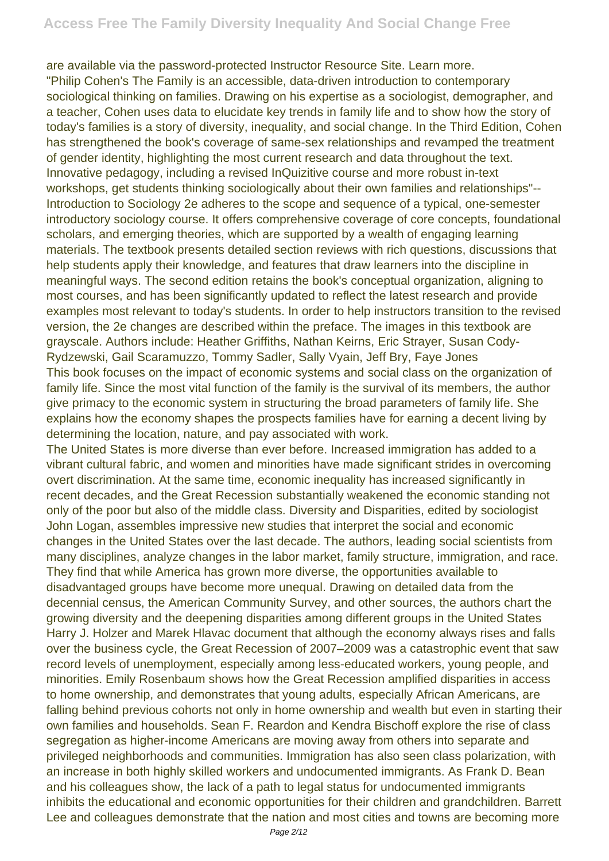are available via the password-protected Instructor Resource Site. Learn more. "Philip Cohen's The Family is an accessible, data-driven introduction to contemporary sociological thinking on families. Drawing on his expertise as a sociologist, demographer, and a teacher, Cohen uses data to elucidate key trends in family life and to show how the story of today's families is a story of diversity, inequality, and social change. In the Third Edition, Cohen has strengthened the book's coverage of same-sex relationships and revamped the treatment of gender identity, highlighting the most current research and data throughout the text. Innovative pedagogy, including a revised InQuizitive course and more robust in-text workshops, get students thinking sociologically about their own families and relationships"--Introduction to Sociology 2e adheres to the scope and sequence of a typical, one-semester introductory sociology course. It offers comprehensive coverage of core concepts, foundational scholars, and emerging theories, which are supported by a wealth of engaging learning materials. The textbook presents detailed section reviews with rich questions, discussions that help students apply their knowledge, and features that draw learners into the discipline in meaningful ways. The second edition retains the book's conceptual organization, aligning to most courses, and has been significantly updated to reflect the latest research and provide examples most relevant to today's students. In order to help instructors transition to the revised version, the 2e changes are described within the preface. The images in this textbook are grayscale. Authors include: Heather Griffiths, Nathan Keirns, Eric Strayer, Susan Cody-Rydzewski, Gail Scaramuzzo, Tommy Sadler, Sally Vyain, Jeff Bry, Faye Jones This book focuses on the impact of economic systems and social class on the organization of family life. Since the most vital function of the family is the survival of its members, the author give primacy to the economic system in structuring the broad parameters of family life. She explains how the economy shapes the prospects families have for earning a decent living by determining the location, nature, and pay associated with work.

The United States is more diverse than ever before. Increased immigration has added to a vibrant cultural fabric, and women and minorities have made significant strides in overcoming overt discrimination. At the same time, economic inequality has increased significantly in recent decades, and the Great Recession substantially weakened the economic standing not only of the poor but also of the middle class. Diversity and Disparities, edited by sociologist John Logan, assembles impressive new studies that interpret the social and economic changes in the United States over the last decade. The authors, leading social scientists from many disciplines, analyze changes in the labor market, family structure, immigration, and race. They find that while America has grown more diverse, the opportunities available to disadvantaged groups have become more unequal. Drawing on detailed data from the decennial census, the American Community Survey, and other sources, the authors chart the growing diversity and the deepening disparities among different groups in the United States Harry J. Holzer and Marek Hlavac document that although the economy always rises and falls over the business cycle, the Great Recession of 2007–2009 was a catastrophic event that saw record levels of unemployment, especially among less-educated workers, young people, and minorities. Emily Rosenbaum shows how the Great Recession amplified disparities in access to home ownership, and demonstrates that young adults, especially African Americans, are falling behind previous cohorts not only in home ownership and wealth but even in starting their own families and households. Sean F. Reardon and Kendra Bischoff explore the rise of class segregation as higher-income Americans are moving away from others into separate and privileged neighborhoods and communities. Immigration has also seen class polarization, with an increase in both highly skilled workers and undocumented immigrants. As Frank D. Bean and his colleagues show, the lack of a path to legal status for undocumented immigrants inhibits the educational and economic opportunities for their children and grandchildren. Barrett Lee and colleagues demonstrate that the nation and most cities and towns are becoming more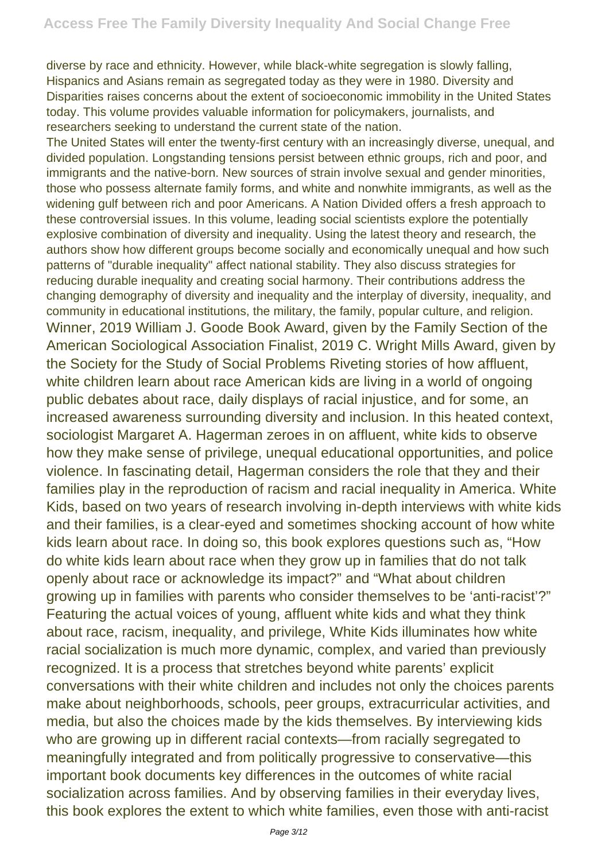diverse by race and ethnicity. However, while black-white segregation is slowly falling, Hispanics and Asians remain as segregated today as they were in 1980. Diversity and Disparities raises concerns about the extent of socioeconomic immobility in the United States today. This volume provides valuable information for policymakers, journalists, and researchers seeking to understand the current state of the nation.

The United States will enter the twenty-first century with an increasingly diverse, unequal, and divided population. Longstanding tensions persist between ethnic groups, rich and poor, and immigrants and the native-born. New sources of strain involve sexual and gender minorities, those who possess alternate family forms, and white and nonwhite immigrants, as well as the widening gulf between rich and poor Americans. A Nation Divided offers a fresh approach to these controversial issues. In this volume, leading social scientists explore the potentially explosive combination of diversity and inequality. Using the latest theory and research, the authors show how different groups become socially and economically unequal and how such patterns of "durable inequality" affect national stability. They also discuss strategies for reducing durable inequality and creating social harmony. Their contributions address the changing demography of diversity and inequality and the interplay of diversity, inequality, and community in educational institutions, the military, the family, popular culture, and religion. Winner, 2019 William J. Goode Book Award, given by the Family Section of the American Sociological Association Finalist, 2019 C. Wright Mills Award, given by the Society for the Study of Social Problems Riveting stories of how affluent, white children learn about race American kids are living in a world of ongoing public debates about race, daily displays of racial injustice, and for some, an increased awareness surrounding diversity and inclusion. In this heated context, sociologist Margaret A. Hagerman zeroes in on affluent, white kids to observe how they make sense of privilege, unequal educational opportunities, and police violence. In fascinating detail, Hagerman considers the role that they and their families play in the reproduction of racism and racial inequality in America. White Kids, based on two years of research involving in-depth interviews with white kids and their families, is a clear-eyed and sometimes shocking account of how white kids learn about race. In doing so, this book explores questions such as, "How do white kids learn about race when they grow up in families that do not talk openly about race or acknowledge its impact?" and "What about children growing up in families with parents who consider themselves to be 'anti-racist'?" Featuring the actual voices of young, affluent white kids and what they think about race, racism, inequality, and privilege, White Kids illuminates how white racial socialization is much more dynamic, complex, and varied than previously recognized. It is a process that stretches beyond white parents' explicit conversations with their white children and includes not only the choices parents make about neighborhoods, schools, peer groups, extracurricular activities, and media, but also the choices made by the kids themselves. By interviewing kids who are growing up in different racial contexts—from racially segregated to meaningfully integrated and from politically progressive to conservative—this important book documents key differences in the outcomes of white racial socialization across families. And by observing families in their everyday lives, this book explores the extent to which white families, even those with anti-racist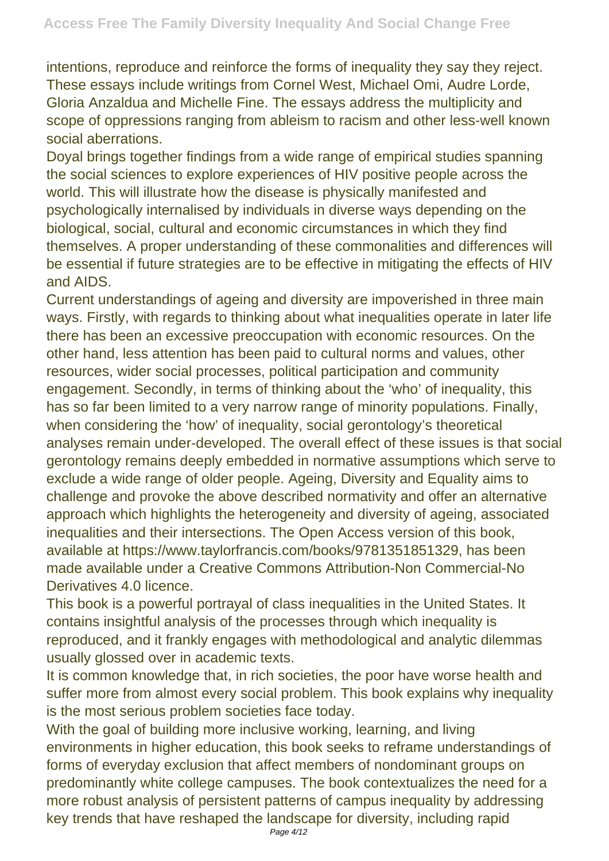intentions, reproduce and reinforce the forms of inequality they say they reject. These essays include writings from Cornel West, Michael Omi, Audre Lorde, Gloria Anzaldua and Michelle Fine. The essays address the multiplicity and scope of oppressions ranging from ableism to racism and other less-well known social aberrations.

Doyal brings together findings from a wide range of empirical studies spanning the social sciences to explore experiences of HIV positive people across the world. This will illustrate how the disease is physically manifested and psychologically internalised by individuals in diverse ways depending on the biological, social, cultural and economic circumstances in which they find themselves. A proper understanding of these commonalities and differences will be essential if future strategies are to be effective in mitigating the effects of HIV and AIDS.

Current understandings of ageing and diversity are impoverished in three main ways. Firstly, with regards to thinking about what inequalities operate in later life there has been an excessive preoccupation with economic resources. On the other hand, less attention has been paid to cultural norms and values, other resources, wider social processes, political participation and community engagement. Secondly, in terms of thinking about the 'who' of inequality, this has so far been limited to a very narrow range of minority populations. Finally, when considering the 'how' of inequality, social gerontology's theoretical analyses remain under-developed. The overall effect of these issues is that social gerontology remains deeply embedded in normative assumptions which serve to exclude a wide range of older people. Ageing, Diversity and Equality aims to challenge and provoke the above described normativity and offer an alternative approach which highlights the heterogeneity and diversity of ageing, associated inequalities and their intersections. The Open Access version of this book, available at https://www.taylorfrancis.com/books/9781351851329, has been made available under a Creative Commons Attribution-Non Commercial-No Derivatives 4.0 licence.

This book is a powerful portrayal of class inequalities in the United States. It contains insightful analysis of the processes through which inequality is reproduced, and it frankly engages with methodological and analytic dilemmas usually glossed over in academic texts.

It is common knowledge that, in rich societies, the poor have worse health and suffer more from almost every social problem. This book explains why inequality is the most serious problem societies face today.

With the goal of building more inclusive working, learning, and living environments in higher education, this book seeks to reframe understandings of forms of everyday exclusion that affect members of nondominant groups on predominantly white college campuses. The book contextualizes the need for a more robust analysis of persistent patterns of campus inequality by addressing key trends that have reshaped the landscape for diversity, including rapid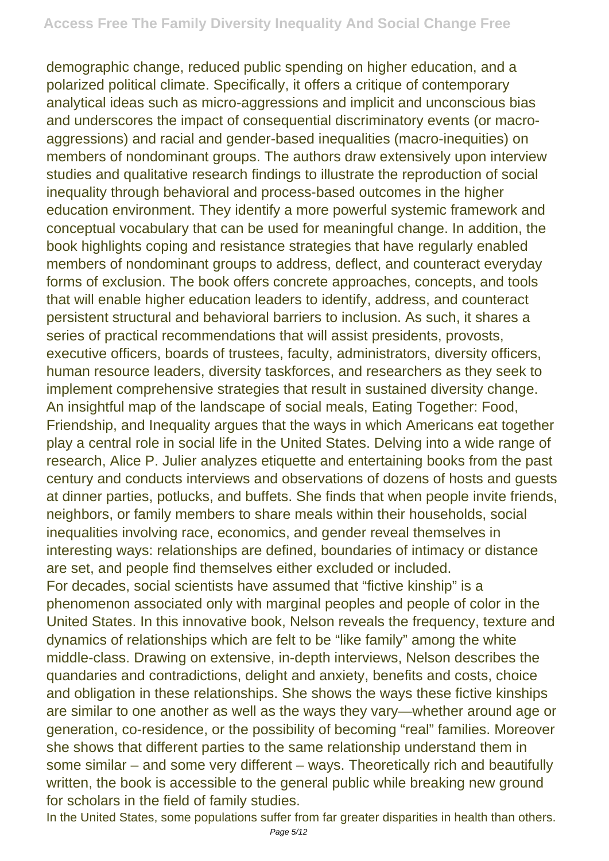demographic change, reduced public spending on higher education, and a polarized political climate. Specifically, it offers a critique of contemporary analytical ideas such as micro-aggressions and implicit and unconscious bias and underscores the impact of consequential discriminatory events (or macroaggressions) and racial and gender-based inequalities (macro-inequities) on members of nondominant groups. The authors draw extensively upon interview studies and qualitative research findings to illustrate the reproduction of social inequality through behavioral and process-based outcomes in the higher education environment. They identify a more powerful systemic framework and conceptual vocabulary that can be used for meaningful change. In addition, the book highlights coping and resistance strategies that have regularly enabled members of nondominant groups to address, deflect, and counteract everyday forms of exclusion. The book offers concrete approaches, concepts, and tools that will enable higher education leaders to identify, address, and counteract persistent structural and behavioral barriers to inclusion. As such, it shares a series of practical recommendations that will assist presidents, provosts, executive officers, boards of trustees, faculty, administrators, diversity officers, human resource leaders, diversity taskforces, and researchers as they seek to implement comprehensive strategies that result in sustained diversity change. An insightful map of the landscape of social meals, Eating Together: Food, Friendship, and Inequality argues that the ways in which Americans eat together play a central role in social life in the United States. Delving into a wide range of research, Alice P. Julier analyzes etiquette and entertaining books from the past century and conducts interviews and observations of dozens of hosts and guests at dinner parties, potlucks, and buffets. She finds that when people invite friends, neighbors, or family members to share meals within their households, social inequalities involving race, economics, and gender reveal themselves in interesting ways: relationships are defined, boundaries of intimacy or distance are set, and people find themselves either excluded or included. For decades, social scientists have assumed that "fictive kinship" is a phenomenon associated only with marginal peoples and people of color in the United States. In this innovative book, Nelson reveals the frequency, texture and dynamics of relationships which are felt to be "like family" among the white middle-class. Drawing on extensive, in-depth interviews, Nelson describes the quandaries and contradictions, delight and anxiety, benefits and costs, choice and obligation in these relationships. She shows the ways these fictive kinships are similar to one another as well as the ways they vary—whether around age or generation, co-residence, or the possibility of becoming "real" families. Moreover she shows that different parties to the same relationship understand them in some similar – and some very different – ways. Theoretically rich and beautifully written, the book is accessible to the general public while breaking new ground for scholars in the field of family studies.

In the United States, some populations suffer from far greater disparities in health than others.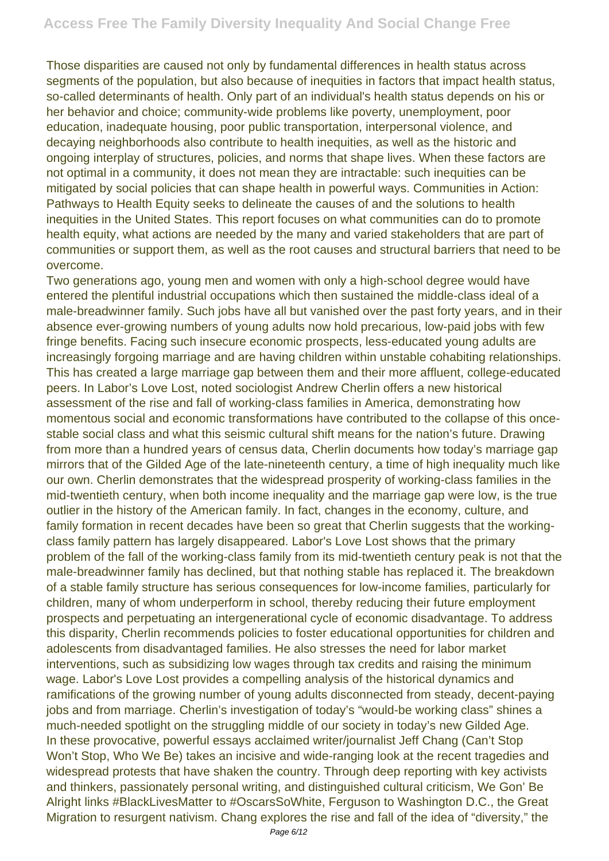Those disparities are caused not only by fundamental differences in health status across segments of the population, but also because of inequities in factors that impact health status, so-called determinants of health. Only part of an individual's health status depends on his or her behavior and choice; community-wide problems like poverty, unemployment, poor education, inadequate housing, poor public transportation, interpersonal violence, and decaying neighborhoods also contribute to health inequities, as well as the historic and ongoing interplay of structures, policies, and norms that shape lives. When these factors are not optimal in a community, it does not mean they are intractable: such inequities can be mitigated by social policies that can shape health in powerful ways. Communities in Action: Pathways to Health Equity seeks to delineate the causes of and the solutions to health inequities in the United States. This report focuses on what communities can do to promote health equity, what actions are needed by the many and varied stakeholders that are part of communities or support them, as well as the root causes and structural barriers that need to be overcome.

Two generations ago, young men and women with only a high-school degree would have entered the plentiful industrial occupations which then sustained the middle-class ideal of a male-breadwinner family. Such jobs have all but vanished over the past forty years, and in their absence ever-growing numbers of young adults now hold precarious, low-paid jobs with few fringe benefits. Facing such insecure economic prospects, less-educated young adults are increasingly forgoing marriage and are having children within unstable cohabiting relationships. This has created a large marriage gap between them and their more affluent, college-educated peers. In Labor's Love Lost, noted sociologist Andrew Cherlin offers a new historical assessment of the rise and fall of working-class families in America, demonstrating how momentous social and economic transformations have contributed to the collapse of this oncestable social class and what this seismic cultural shift means for the nation's future. Drawing from more than a hundred years of census data, Cherlin documents how today's marriage gap mirrors that of the Gilded Age of the late-nineteenth century, a time of high inequality much like our own. Cherlin demonstrates that the widespread prosperity of working-class families in the mid-twentieth century, when both income inequality and the marriage gap were low, is the true outlier in the history of the American family. In fact, changes in the economy, culture, and family formation in recent decades have been so great that Cherlin suggests that the workingclass family pattern has largely disappeared. Labor's Love Lost shows that the primary problem of the fall of the working-class family from its mid-twentieth century peak is not that the male-breadwinner family has declined, but that nothing stable has replaced it. The breakdown of a stable family structure has serious consequences for low-income families, particularly for children, many of whom underperform in school, thereby reducing their future employment prospects and perpetuating an intergenerational cycle of economic disadvantage. To address this disparity, Cherlin recommends policies to foster educational opportunities for children and adolescents from disadvantaged families. He also stresses the need for labor market interventions, such as subsidizing low wages through tax credits and raising the minimum wage. Labor's Love Lost provides a compelling analysis of the historical dynamics and ramifications of the growing number of young adults disconnected from steady, decent-paying jobs and from marriage. Cherlin's investigation of today's "would-be working class" shines a much-needed spotlight on the struggling middle of our society in today's new Gilded Age. In these provocative, powerful essays acclaimed writer/journalist Jeff Chang (Can't Stop Won't Stop, Who We Be) takes an incisive and wide-ranging look at the recent tragedies and widespread protests that have shaken the country. Through deep reporting with key activists and thinkers, passionately personal writing, and distinguished cultural criticism, We Gon' Be Alright links #BlackLivesMatter to #OscarsSoWhite, Ferguson to Washington D.C., the Great Migration to resurgent nativism. Chang explores the rise and fall of the idea of "diversity," the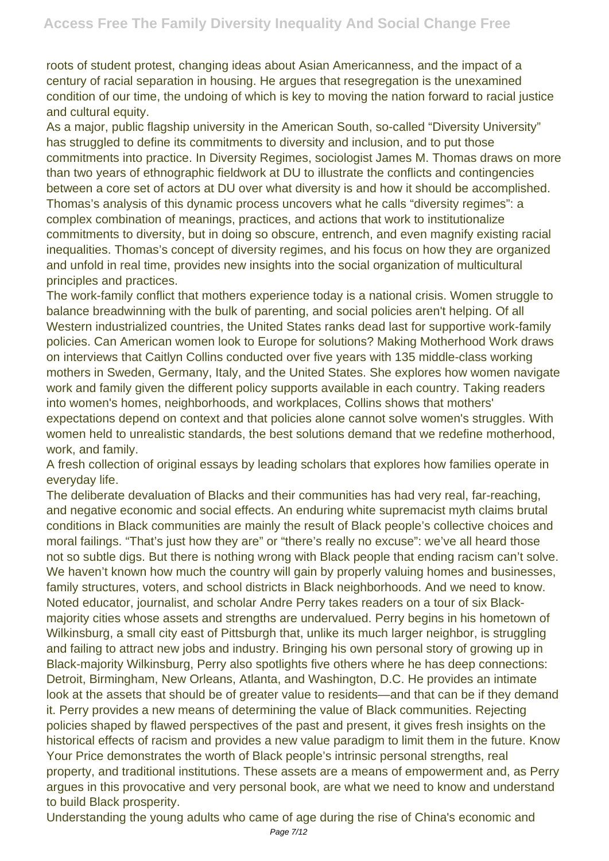roots of student protest, changing ideas about Asian Americanness, and the impact of a century of racial separation in housing. He argues that resegregation is the unexamined condition of our time, the undoing of which is key to moving the nation forward to racial justice and cultural equity.

As a major, public flagship university in the American South, so-called "Diversity University" has struggled to define its commitments to diversity and inclusion, and to put those commitments into practice. In Diversity Regimes, sociologist James M. Thomas draws on more than two years of ethnographic fieldwork at DU to illustrate the conflicts and contingencies between a core set of actors at DU over what diversity is and how it should be accomplished. Thomas's analysis of this dynamic process uncovers what he calls "diversity regimes": a complex combination of meanings, practices, and actions that work to institutionalize commitments to diversity, but in doing so obscure, entrench, and even magnify existing racial inequalities. Thomas's concept of diversity regimes, and his focus on how they are organized and unfold in real time, provides new insights into the social organization of multicultural principles and practices.

The work-family conflict that mothers experience today is a national crisis. Women struggle to balance breadwinning with the bulk of parenting, and social policies aren't helping. Of all Western industrialized countries, the United States ranks dead last for supportive work-family policies. Can American women look to Europe for solutions? Making Motherhood Work draws on interviews that Caitlyn Collins conducted over five years with 135 middle-class working mothers in Sweden, Germany, Italy, and the United States. She explores how women navigate work and family given the different policy supports available in each country. Taking readers into women's homes, neighborhoods, and workplaces, Collins shows that mothers' expectations depend on context and that policies alone cannot solve women's struggles. With women held to unrealistic standards, the best solutions demand that we redefine motherhood, work, and family.

A fresh collection of original essays by leading scholars that explores how families operate in everyday life.

The deliberate devaluation of Blacks and their communities has had very real, far-reaching, and negative economic and social effects. An enduring white supremacist myth claims brutal conditions in Black communities are mainly the result of Black people's collective choices and moral failings. "That's just how they are" or "there's really no excuse": we've all heard those not so subtle digs. But there is nothing wrong with Black people that ending racism can't solve. We haven't known how much the country will gain by properly valuing homes and businesses, family structures, voters, and school districts in Black neighborhoods. And we need to know. Noted educator, journalist, and scholar Andre Perry takes readers on a tour of six Blackmajority cities whose assets and strengths are undervalued. Perry begins in his hometown of Wilkinsburg, a small city east of Pittsburgh that, unlike its much larger neighbor, is struggling and failing to attract new jobs and industry. Bringing his own personal story of growing up in Black-majority Wilkinsburg, Perry also spotlights five others where he has deep connections: Detroit, Birmingham, New Orleans, Atlanta, and Washington, D.C. He provides an intimate look at the assets that should be of greater value to residents—and that can be if they demand it. Perry provides a new means of determining the value of Black communities. Rejecting policies shaped by flawed perspectives of the past and present, it gives fresh insights on the historical effects of racism and provides a new value paradigm to limit them in the future. Know Your Price demonstrates the worth of Black people's intrinsic personal strengths, real property, and traditional institutions. These assets are a means of empowerment and, as Perry argues in this provocative and very personal book, are what we need to know and understand to build Black prosperity.

Understanding the young adults who came of age during the rise of China's economic and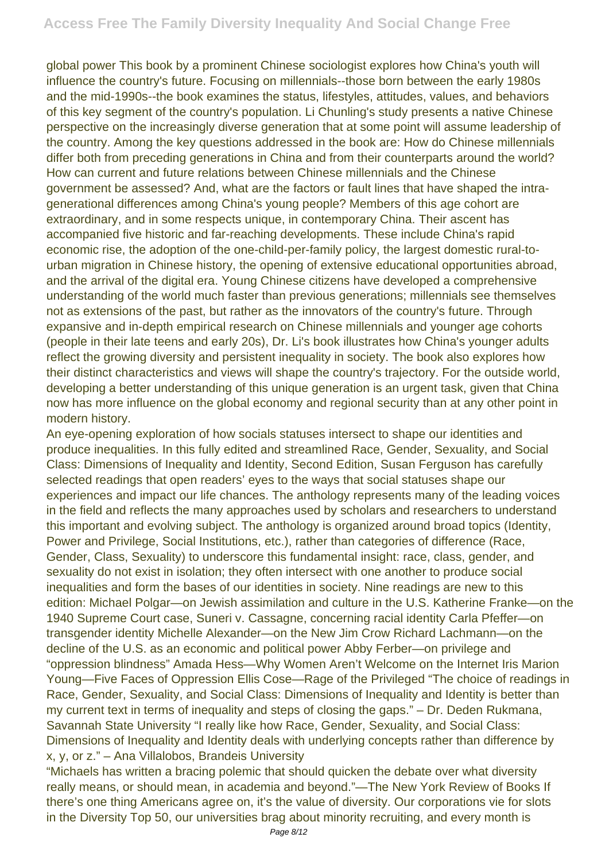global power This book by a prominent Chinese sociologist explores how China's youth will influence the country's future. Focusing on millennials--those born between the early 1980s and the mid-1990s--the book examines the status, lifestyles, attitudes, values, and behaviors of this key segment of the country's population. Li Chunling's study presents a native Chinese perspective on the increasingly diverse generation that at some point will assume leadership of the country. Among the key questions addressed in the book are: How do Chinese millennials differ both from preceding generations in China and from their counterparts around the world? How can current and future relations between Chinese millennials and the Chinese government be assessed? And, what are the factors or fault lines that have shaped the intragenerational differences among China's young people? Members of this age cohort are extraordinary, and in some respects unique, in contemporary China. Their ascent has accompanied five historic and far-reaching developments. These include China's rapid economic rise, the adoption of the one-child-per-family policy, the largest domestic rural-tourban migration in Chinese history, the opening of extensive educational opportunities abroad, and the arrival of the digital era. Young Chinese citizens have developed a comprehensive understanding of the world much faster than previous generations; millennials see themselves not as extensions of the past, but rather as the innovators of the country's future. Through expansive and in-depth empirical research on Chinese millennials and younger age cohorts (people in their late teens and early 20s), Dr. Li's book illustrates how China's younger adults reflect the growing diversity and persistent inequality in society. The book also explores how their distinct characteristics and views will shape the country's trajectory. For the outside world, developing a better understanding of this unique generation is an urgent task, given that China now has more influence on the global economy and regional security than at any other point in modern history.

An eye-opening exploration of how socials statuses intersect to shape our identities and produce inequalities. In this fully edited and streamlined Race, Gender, Sexuality, and Social Class: Dimensions of Inequality and Identity, Second Edition, Susan Ferguson has carefully selected readings that open readers' eyes to the ways that social statuses shape our experiences and impact our life chances. The anthology represents many of the leading voices in the field and reflects the many approaches used by scholars and researchers to understand this important and evolving subject. The anthology is organized around broad topics (Identity, Power and Privilege, Social Institutions, etc.), rather than categories of difference (Race, Gender, Class, Sexuality) to underscore this fundamental insight: race, class, gender, and sexuality do not exist in isolation; they often intersect with one another to produce social inequalities and form the bases of our identities in society. Nine readings are new to this edition: Michael Polgar—on Jewish assimilation and culture in the U.S. Katherine Franke—on the 1940 Supreme Court case, Suneri v. Cassagne, concerning racial identity Carla Pfeffer—on transgender identity Michelle Alexander—on the New Jim Crow Richard Lachmann—on the decline of the U.S. as an economic and political power Abby Ferber—on privilege and "oppression blindness" Amada Hess—Why Women Aren't Welcome on the Internet Iris Marion Young—Five Faces of Oppression Ellis Cose—Rage of the Privileged "The choice of readings in Race, Gender, Sexuality, and Social Class: Dimensions of Inequality and Identity is better than my current text in terms of inequality and steps of closing the gaps." – Dr. Deden Rukmana, Savannah State University "I really like how Race, Gender, Sexuality, and Social Class: Dimensions of Inequality and Identity deals with underlying concepts rather than difference by x, y, or z." – Ana Villalobos, Brandeis University

"Michaels has written a bracing polemic that should quicken the debate over what diversity really means, or should mean, in academia and beyond."—The New York Review of Books If there's one thing Americans agree on, it's the value of diversity. Our corporations vie for slots in the Diversity Top 50, our universities brag about minority recruiting, and every month is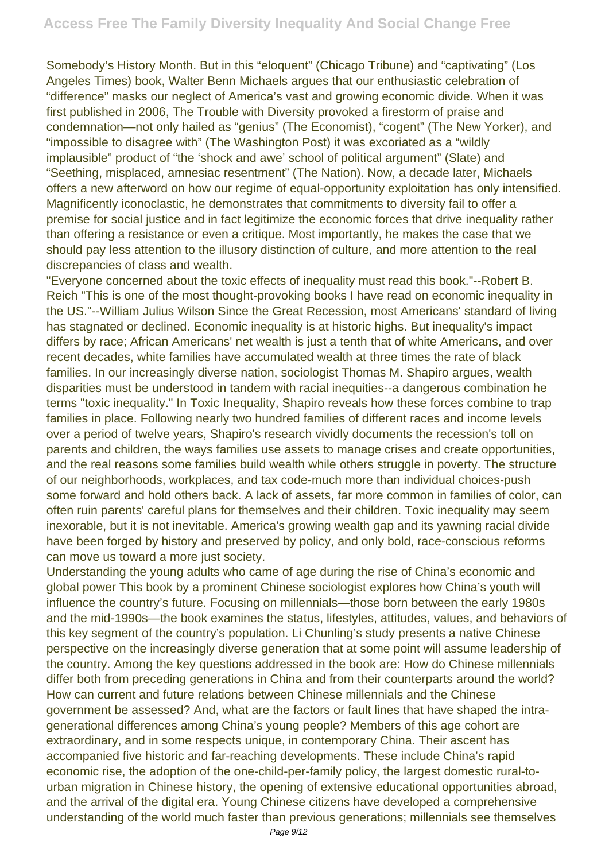Somebody's History Month. But in this "eloquent" (Chicago Tribune) and "captivating" (Los Angeles Times) book, Walter Benn Michaels argues that our enthusiastic celebration of "difference" masks our neglect of America's vast and growing economic divide. When it was first published in 2006, The Trouble with Diversity provoked a firestorm of praise and condemnation—not only hailed as "genius" (The Economist), "cogent" (The New Yorker), and "impossible to disagree with" (The Washington Post) it was excoriated as a "wildly implausible" product of "the 'shock and awe' school of political argument" (Slate) and "Seething, misplaced, amnesiac resentment" (The Nation). Now, a decade later, Michaels offers a new afterword on how our regime of equal-opportunity exploitation has only intensified. Magnificently iconoclastic, he demonstrates that commitments to diversity fail to offer a premise for social justice and in fact legitimize the economic forces that drive inequality rather than offering a resistance or even a critique. Most importantly, he makes the case that we should pay less attention to the illusory distinction of culture, and more attention to the real discrepancies of class and wealth.

"Everyone concerned about the toxic effects of inequality must read this book."--Robert B. Reich "This is one of the most thought-provoking books I have read on economic inequality in the US."--William Julius Wilson Since the Great Recession, most Americans' standard of living has stagnated or declined. Economic inequality is at historic highs. But inequality's impact differs by race; African Americans' net wealth is just a tenth that of white Americans, and over recent decades, white families have accumulated wealth at three times the rate of black families. In our increasingly diverse nation, sociologist Thomas M. Shapiro argues, wealth disparities must be understood in tandem with racial inequities--a dangerous combination he terms "toxic inequality." In Toxic Inequality, Shapiro reveals how these forces combine to trap families in place. Following nearly two hundred families of different races and income levels over a period of twelve years, Shapiro's research vividly documents the recession's toll on parents and children, the ways families use assets to manage crises and create opportunities, and the real reasons some families build wealth while others struggle in poverty. The structure of our neighborhoods, workplaces, and tax code-much more than individual choices-push some forward and hold others back. A lack of assets, far more common in families of color, can often ruin parents' careful plans for themselves and their children. Toxic inequality may seem inexorable, but it is not inevitable. America's growing wealth gap and its yawning racial divide have been forged by history and preserved by policy, and only bold, race-conscious reforms can move us toward a more just society.

Understanding the young adults who came of age during the rise of China's economic and global power This book by a prominent Chinese sociologist explores how China's youth will influence the country's future. Focusing on millennials—those born between the early 1980s and the mid-1990s—the book examines the status, lifestyles, attitudes, values, and behaviors of this key segment of the country's population. Li Chunling's study presents a native Chinese perspective on the increasingly diverse generation that at some point will assume leadership of the country. Among the key questions addressed in the book are: How do Chinese millennials differ both from preceding generations in China and from their counterparts around the world? How can current and future relations between Chinese millennials and the Chinese government be assessed? And, what are the factors or fault lines that have shaped the intragenerational differences among China's young people? Members of this age cohort are extraordinary, and in some respects unique, in contemporary China. Their ascent has accompanied five historic and far-reaching developments. These include China's rapid economic rise, the adoption of the one-child-per-family policy, the largest domestic rural-tourban migration in Chinese history, the opening of extensive educational opportunities abroad, and the arrival of the digital era. Young Chinese citizens have developed a comprehensive understanding of the world much faster than previous generations; millennials see themselves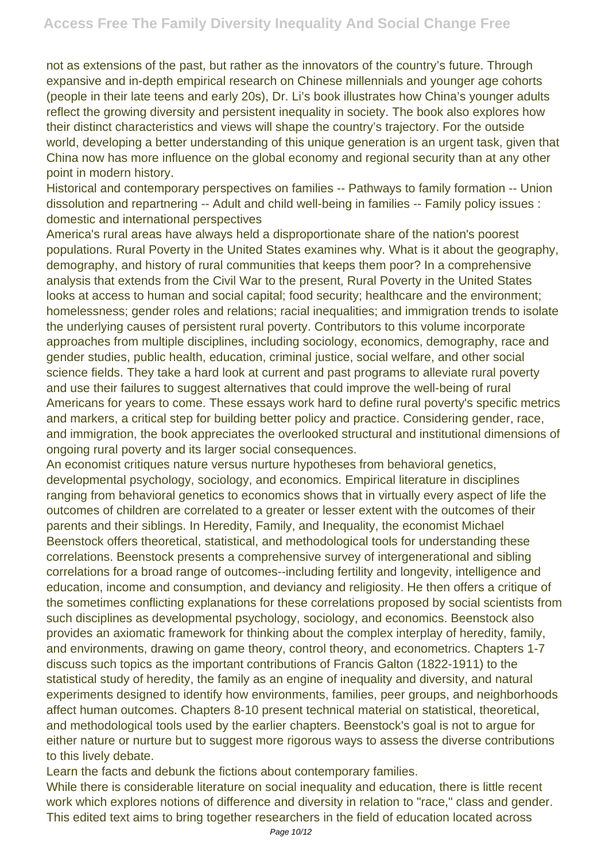not as extensions of the past, but rather as the innovators of the country's future. Through expansive and in-depth empirical research on Chinese millennials and younger age cohorts (people in their late teens and early 20s), Dr. Li's book illustrates how China's younger adults reflect the growing diversity and persistent inequality in society. The book also explores how their distinct characteristics and views will shape the country's trajectory. For the outside world, developing a better understanding of this unique generation is an urgent task, given that China now has more influence on the global economy and regional security than at any other point in modern history.

Historical and contemporary perspectives on families -- Pathways to family formation -- Union dissolution and repartnering -- Adult and child well-being in families -- Family policy issues : domestic and international perspectives

America's rural areas have always held a disproportionate share of the nation's poorest populations. Rural Poverty in the United States examines why. What is it about the geography, demography, and history of rural communities that keeps them poor? In a comprehensive analysis that extends from the Civil War to the present, Rural Poverty in the United States looks at access to human and social capital; food security; healthcare and the environment; homelessness; gender roles and relations; racial inequalities; and immigration trends to isolate the underlying causes of persistent rural poverty. Contributors to this volume incorporate approaches from multiple disciplines, including sociology, economics, demography, race and gender studies, public health, education, criminal justice, social welfare, and other social science fields. They take a hard look at current and past programs to alleviate rural poverty and use their failures to suggest alternatives that could improve the well-being of rural Americans for years to come. These essays work hard to define rural poverty's specific metrics and markers, a critical step for building better policy and practice. Considering gender, race, and immigration, the book appreciates the overlooked structural and institutional dimensions of ongoing rural poverty and its larger social consequences.

An economist critiques nature versus nurture hypotheses from behavioral genetics, developmental psychology, sociology, and economics. Empirical literature in disciplines ranging from behavioral genetics to economics shows that in virtually every aspect of life the outcomes of children are correlated to a greater or lesser extent with the outcomes of their parents and their siblings. In Heredity, Family, and Inequality, the economist Michael Beenstock offers theoretical, statistical, and methodological tools for understanding these correlations. Beenstock presents a comprehensive survey of intergenerational and sibling correlations for a broad range of outcomes--including fertility and longevity, intelligence and education, income and consumption, and deviancy and religiosity. He then offers a critique of the sometimes conflicting explanations for these correlations proposed by social scientists from such disciplines as developmental psychology, sociology, and economics. Beenstock also provides an axiomatic framework for thinking about the complex interplay of heredity, family, and environments, drawing on game theory, control theory, and econometrics. Chapters 1-7 discuss such topics as the important contributions of Francis Galton (1822-1911) to the statistical study of heredity, the family as an engine of inequality and diversity, and natural experiments designed to identify how environments, families, peer groups, and neighborhoods affect human outcomes. Chapters 8-10 present technical material on statistical, theoretical, and methodological tools used by the earlier chapters. Beenstock's goal is not to argue for either nature or nurture but to suggest more rigorous ways to assess the diverse contributions to this lively debate.

Learn the facts and debunk the fictions about contemporary families.

While there is considerable literature on social inequality and education, there is little recent work which explores notions of difference and diversity in relation to "race," class and gender. This edited text aims to bring together researchers in the field of education located across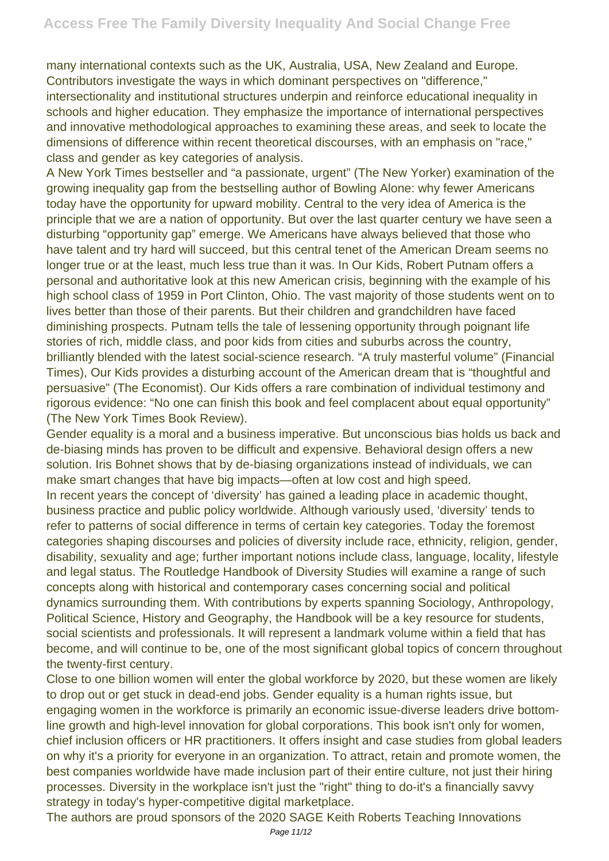many international contexts such as the UK, Australia, USA, New Zealand and Europe. Contributors investigate the ways in which dominant perspectives on "difference," intersectionality and institutional structures underpin and reinforce educational inequality in schools and higher education. They emphasize the importance of international perspectives and innovative methodological approaches to examining these areas, and seek to locate the dimensions of difference within recent theoretical discourses, with an emphasis on "race," class and gender as key categories of analysis.

A New York Times bestseller and "a passionate, urgent" (The New Yorker) examination of the growing inequality gap from the bestselling author of Bowling Alone: why fewer Americans today have the opportunity for upward mobility. Central to the very idea of America is the principle that we are a nation of opportunity. But over the last quarter century we have seen a disturbing "opportunity gap" emerge. We Americans have always believed that those who have talent and try hard will succeed, but this central tenet of the American Dream seems no longer true or at the least, much less true than it was. In Our Kids, Robert Putnam offers a personal and authoritative look at this new American crisis, beginning with the example of his high school class of 1959 in Port Clinton, Ohio. The vast majority of those students went on to lives better than those of their parents. But their children and grandchildren have faced diminishing prospects. Putnam tells the tale of lessening opportunity through poignant life stories of rich, middle class, and poor kids from cities and suburbs across the country, brilliantly blended with the latest social-science research. "A truly masterful volume" (Financial Times), Our Kids provides a disturbing account of the American dream that is "thoughtful and persuasive" (The Economist). Our Kids offers a rare combination of individual testimony and rigorous evidence: "No one can finish this book and feel complacent about equal opportunity" (The New York Times Book Review).

Gender equality is a moral and a business imperative. But unconscious bias holds us back and de-biasing minds has proven to be difficult and expensive. Behavioral design offers a new solution. Iris Bohnet shows that by de-biasing organizations instead of individuals, we can make smart changes that have big impacts—often at low cost and high speed.

In recent years the concept of 'diversity' has gained a leading place in academic thought, business practice and public policy worldwide. Although variously used, 'diversity' tends to refer to patterns of social difference in terms of certain key categories. Today the foremost categories shaping discourses and policies of diversity include race, ethnicity, religion, gender, disability, sexuality and age; further important notions include class, language, locality, lifestyle and legal status. The Routledge Handbook of Diversity Studies will examine a range of such concepts along with historical and contemporary cases concerning social and political dynamics surrounding them. With contributions by experts spanning Sociology, Anthropology, Political Science, History and Geography, the Handbook will be a key resource for students, social scientists and professionals. It will represent a landmark volume within a field that has become, and will continue to be, one of the most significant global topics of concern throughout the twenty-first century.

Close to one billion women will enter the global workforce by 2020, but these women are likely to drop out or get stuck in dead-end jobs. Gender equality is a human rights issue, but engaging women in the workforce is primarily an economic issue-diverse leaders drive bottomline growth and high-level innovation for global corporations. This book isn't only for women, chief inclusion officers or HR practitioners. It offers insight and case studies from global leaders on why it's a priority for everyone in an organization. To attract, retain and promote women, the best companies worldwide have made inclusion part of their entire culture, not just their hiring processes. Diversity in the workplace isn't just the "right" thing to do-it's a financially savvy strategy in today's hyper-competitive digital marketplace.

The authors are proud sponsors of the 2020 SAGE Keith Roberts Teaching Innovations